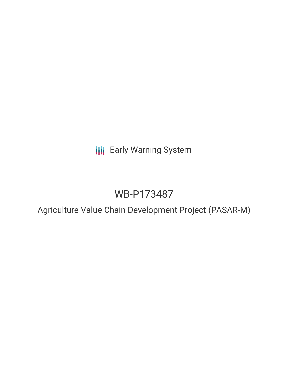**III** Early Warning System

# WB-P173487

Agriculture Value Chain Development Project (PASAR-M)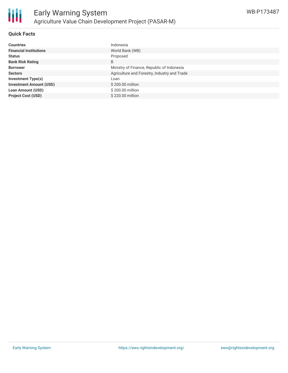

## **Quick Facts**

| <b>Countries</b>               | Indonesia                                    |
|--------------------------------|----------------------------------------------|
| <b>Financial Institutions</b>  | World Bank (WB)                              |
| <b>Status</b>                  | Proposed                                     |
| <b>Bank Risk Rating</b>        | B                                            |
| <b>Borrower</b>                | Ministry of Finance, Republic of Indonesia   |
| <b>Sectors</b>                 | Agriculture and Forestry, Industry and Trade |
| <b>Investment Type(s)</b>      | Loan                                         |
| <b>Investment Amount (USD)</b> | \$200.00 million                             |
| <b>Loan Amount (USD)</b>       | \$200.00 million                             |
| <b>Project Cost (USD)</b>      | \$220,00 million                             |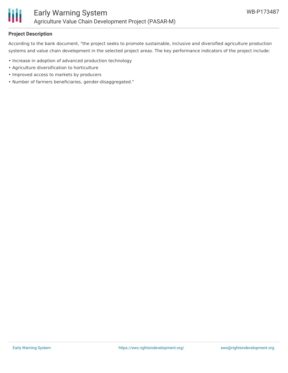

## **Project Description**

According to the bank document, "the project seeks to promote sustainable, inclusive and diversified agriculture production systems and value chain development in the selected project areas. The key performance indicators of the project include:

- Increase in adoption of advanced production technology
- Agriculture diversification to horticulture
- Improved access to markets by producers
- Number of farmers beneficiaries, gender-disaggregated."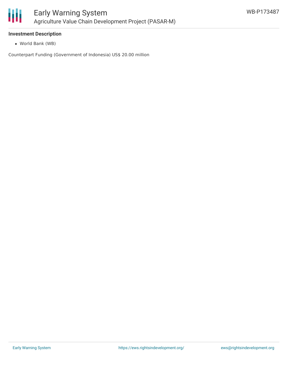

# **Investment Description**

World Bank (WB)

Counterpart Funding (Government of Indonesia) US\$ 20.00 million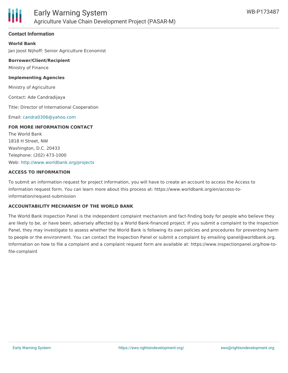

## **Contact Information**

**World Bank** Jan Joost Nijhoff: Senior Agriculture Economist

**Borrower/Client/Recipient** Ministry of Finance

**Implementing Agencies**

Ministry of Agriculture

Contact: Ade Candradijaya

Title: Director of International Cooperation

Email: [candra0306@yahoo.com](mailto:candra0306@yahoo.com)

### **FOR MORE INFORMATION CONTACT**

The World Bank 1818 H Street, NW Washington, D.C. 20433 Telephone: (202) 473-1000 Web: <http://www.worldbank.org/projects>

### **ACCESS TO INFORMATION**

To submit an information request for project information, you will have to create an account to access the Access to Information request form. You can learn more about this process at: https://www.worldbank.org/en/access-toinformation/request-submission

### **ACCOUNTABILITY MECHANISM OF THE WORLD BANK**

The World Bank Inspection Panel is the independent complaint mechanism and fact-finding body for people who believe they are likely to be, or have been, adversely affected by a World Bank-financed project. If you submit a complaint to the Inspection Panel, they may investigate to assess whether the World Bank is following its own policies and procedures for preventing harm to people or the environment. You can contact the Inspection Panel or submit a complaint by emailing ipanel@worldbank.org. Information on how to file a complaint and a complaint request form are available at: https://www.inspectionpanel.org/how-tofile-complaint